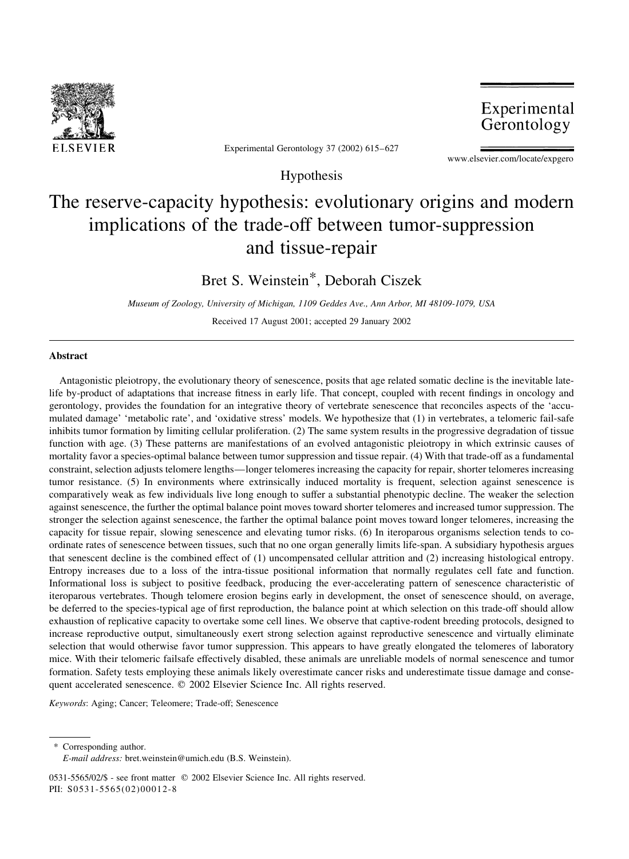

Experimental Gerontology 37 (2002) 615-627

Experimental Gerontology

www.elsevier.com/locate/expgero

Hypothesis

# The reserve-capacity hypothesis: evolutionary origins and modern implications of the trade-off between tumor-suppression and tissue-repair

Bret S. Weinstein\*, Deborah Ciszek

Museum of Zoology, University of Michigan, 1109 Geddes Ave., Ann Arbor, MI 48109-1079, USA Received 17 August 2001; accepted 29 January 2002

## **Abstract**

Antagonistic pleiotropy, the evolutionary theory of senescence, posits that age related somatic decline is the inevitable latelife by-product of adaptations that increase fitness in early life. That concept, coupled with recent findings in oncology and gerontology, provides the foundation for an integrative theory of vertebrate senescence that reconciles aspects of the 'accumulated damage' 'metabolic rate', and 'oxidative stress' models. We hypothesize that (1) in vertebrates, a telomeric fail-safe inhibits tumor formation by limiting cellular proliferation. (2) The same system results in the progressive degradation of tissue function with age. (3) These patterns are manifestations of an evolved antagonistic pleiotropy in which extrinsic causes of mortality favor a species-optimal balance between tumor suppression and tissue repair. (4) With that trade-off as a fundamental constraint, selection adjusts telomere lengths—longer telomeres increasing the capacity for repair, shorter telomeres increasing tumor resistance. (5) In environments where extrinsically induced mortality is frequent, selection against senescence is comparatively weak as few individuals live long enough to suffer a substantial phenotypic decline. The weaker the selection against senescence, the further the optimal balance point moves toward shorter telomeres and increased tumor suppression. The stronger the selection against senescence, the farther the optimal balance point moves toward longer telomeres, increasing the capacity for tissue repair, slowing senescence and elevating tumor risks. (6) In iteroparous organisms selection tends to coordinate rates of senescence between tissues, such that no one organ generally limits life-span. A subsidiary hypothesis argues that senescent decline is the combined effect of (1) uncompensated cellular attrition and (2) increasing histological entropy. Entropy increases due to a loss of the intra-tissue positional information that normally regulates cell fate and function. Informational loss is subject to positive feedback, producing the ever-accelerating pattern of senescence characteristic of iteroparous vertebrates. Though telomere erosion begins early in development, the onset of senescence should, on average, be deferred to the species-typical age of first reproduction, the balance point at which selection on this trade-off should allow exhaustion of replicative capacity to overtake some cell lines. We observe that captive-rodent breeding protocols, designed to increase reproductive output, simultaneously exert strong selection against reproductive senescence and virtually eliminate selection that would otherwise favor tumor suppression. This appears to have greatly elongated the telomeres of laboratory mice. With their telomeric failsafe effectively disabled, these animals are unreliable models of normal senescence and tumor formation. Safety tests employing these animals likely overestimate cancer risks and underestimate tissue damage and consequent accelerated senescence. © 2002 Elsevier Science Inc. All rights reserved.

Keywords: Aging; Cancer; Teleomere; Trade-off; Senescence

\* Corresponding author.

E-mail address: bret.weinstein@umich.edu (B.S. Weinstein).

0531-5565/02/\$ - see front matter © 2002 Elsevier Science Inc. All rights reserved. PII: S0531-5565(02)00012-8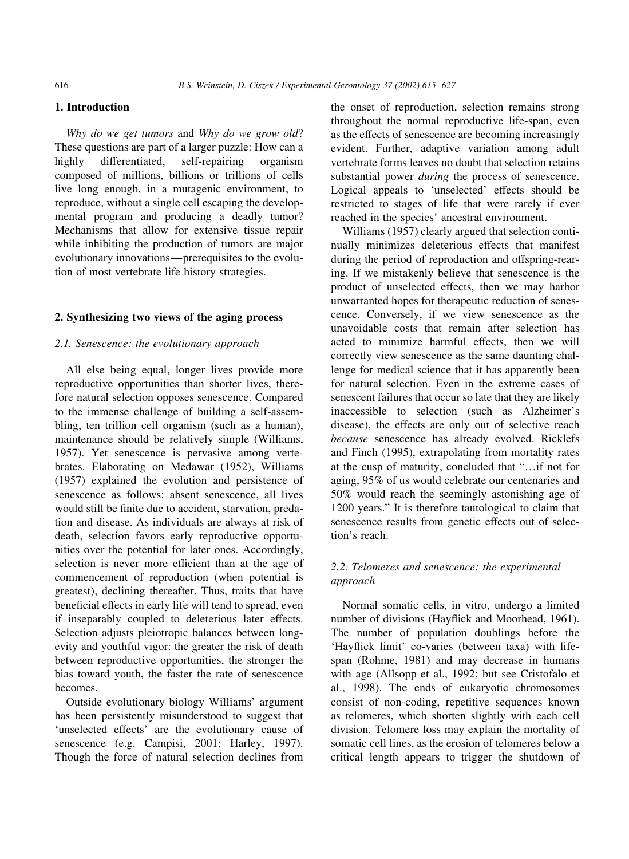## 1. Introduction

Why do we get tumors and Why do we grow old? These questions are part of a larger puzzle: How can a highly differentiated. self-repairing organism composed of millions, billions or trillions of cells live long enough, in a mutagenic environment, to reproduce, without a single cell escaping the developmental program and producing a deadly tumor? Mechanisms that allow for extensive tissue repair while inhibiting the production of tumors are major evolutionary innovations—prerequisites to the evolution of most vertebrate life history strategies.

## 2. Synthesizing two views of the aging process

#### 2.1. Senescence: the evolutionary approach

All else being equal, longer lives provide more reproductive opportunities than shorter lives, therefore natural selection opposes senescence. Compared to the immense challenge of building a self-assembling, ten trillion cell organism (such as a human), maintenance should be relatively simple (Williams, 1957). Yet senescence is pervasive among vertebrates. Elaborating on Medawar (1952), Williams  $(1957)$  explained the evolution and persistence of senescence as follows: absent senescence, all lives would still be finite due to accident, starvation, predation and disease. As individuals are always at risk of death, selection favors early reproductive opportunities over the potential for later ones. Accordingly, selection is never more efficient than at the age of commencement of reproduction (when potential is greatest), declining thereafter. Thus, traits that have beneficial effects in early life will tend to spread, even if inseparably coupled to deleterious later effects. Selection adjusts pleiotropic balances between longevity and youthful vigor: the greater the risk of death between reproductive opportunities, the stronger the bias toward youth, the faster the rate of senescence becomes.

Outside evolutionary biology Williams' argument has been persistently misunderstood to suggest that 'unselected effects' are the evolutionary cause of senescence (e.g. Campisi, 2001; Harley, 1997). Though the force of natural selection declines from the onset of reproduction, selection remains strong throughout the normal reproductive life-span, even as the effects of senescence are becoming increasingly evident. Further, adaptive variation among adult vertebrate forms leaves no doubt that selection retains substantial power *during* the process of senescence. Logical appeals to 'unselected' effects should be restricted to stages of life that were rarely if ever reached in the species' ancestral environment.

Williams (1957) clearly argued that selection continually minimizes deleterious effects that manifest during the period of reproduction and offspring-rearing. If we mistakenly believe that senescence is the product of unselected effects, then we may harbor unwarranted hopes for therapeutic reduction of senescence. Conversely, if we view senescence as the unavoidable costs that remain after selection has acted to minimize harmful effects, then we will correctly view senescence as the same daunting challenge for medical science that it has apparently been for natural selection. Even in the extreme cases of senescent failures that occur so late that they are likely inaccessible to selection (such as Alzheimer's disease), the effects are only out of selective reach because senescence has already evolved. Ricklefs and Finch (1995), extrapolating from mortality rates at the cusp of maturity, concluded that "...if not for aging, 95% of us would celebrate our centenaries and 50% would reach the seemingly astonishing age of 1200 years." It is therefore tautological to claim that senescence results from genetic effects out of selection's reach.

## 2.2. Telomeres and senescence: the experimental approach

Normal somatic cells, in vitro, undergo a limited number of divisions (Hayflick and Moorhead, 1961). The number of population doublings before the 'Hayflick limit' co-varies (between taxa) with lifespan (Rohme, 1981) and may decrease in humans with age (Allsopp et al., 1992; but see Cristofalo et al., 1998). The ends of eukaryotic chromosomes consist of non-coding, repetitive sequences known as telomeres, which shorten slightly with each cell division. Telomere loss may explain the mortality of somatic cell lines, as the erosion of telomeres below a critical length appears to trigger the shutdown of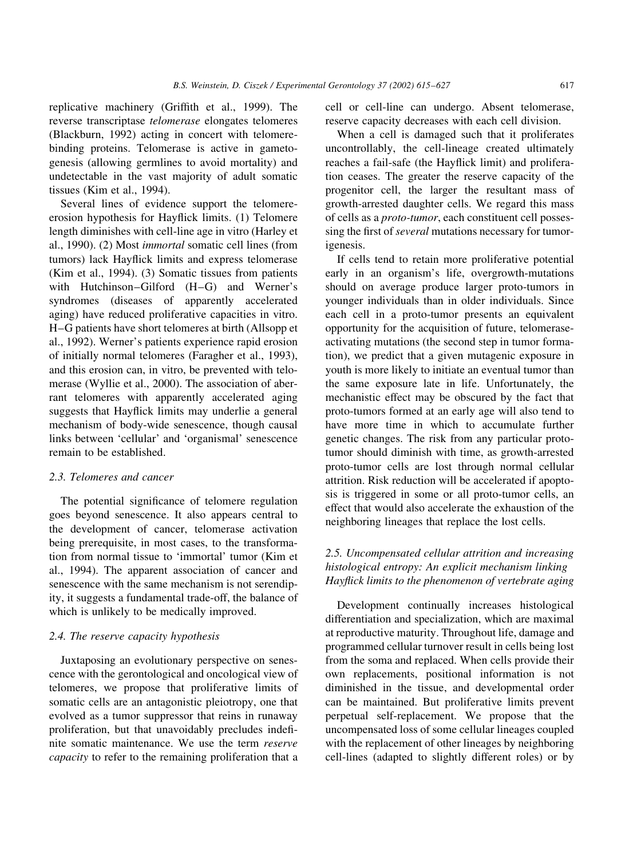replicative machinery (Griffith et al., 1999). The reverse transcriptase telomerase elongates telomeres (Blackburn, 1992) acting in concert with telomerebinding proteins. Telomerase is active in gametogenesis (allowing germlines to avoid mortality) and undetectable in the vast majority of adult somatic tissues (Kim et al., 1994).

Several lines of evidence support the telomereerosion hypothesis for Hayflick limits. (1) Telomere length diminishes with cell-line age in vitro (Harley et al., 1990). (2) Most *immortal* somatic cell lines (from tumors) lack Hayflick limits and express telomerase (Kim et al., 1994). (3) Somatic tissues from patients with Hutchinson-Gilford (H-G) and Werner's syndromes (diseases of apparently accelerated aging) have reduced proliferative capacities in vitro. H-G patients have short telomeres at birth (Allsopp et al., 1992). Werner's patients experience rapid erosion of initially normal telomeres (Faragher et al., 1993), and this erosion can, in vitro, be prevented with telomerase (Wyllie et al., 2000). The association of aberrant telomeres with apparently accelerated aging suggests that Hayflick limits may underlie a general mechanism of body-wide senescence, though causal links between 'cellular' and 'organismal' senescence remain to be established.

## 2.3. Telomeres and cancer

The potential significance of telomere regulation goes beyond senescence. It also appears central to the development of cancer, telomerase activation being prerequisite, in most cases, to the transformation from normal tissue to 'immortal' tumor (Kim et al., 1994). The apparent association of cancer and senescence with the same mechanism is not serendipity, it suggests a fundamental trade-off, the balance of which is unlikely to be medically improved.

## 2.4. The reserve capacity hypothesis

Juxtaposing an evolutionary perspective on senescence with the gerontological and oncological view of telomeres, we propose that proliferative limits of somatic cells are an antagonistic pleiotropy, one that evolved as a tumor suppressor that reins in runaway proliferation, but that unavoidably precludes indefinite somatic maintenance. We use the term reserve capacity to refer to the remaining proliferation that a cell or cell-line can undergo. Absent telomerase, reserve capacity decreases with each cell division.

When a cell is damaged such that it proliferates uncontrollably, the cell-lineage created ultimately reaches a fail-safe (the Hayflick limit) and proliferation ceases. The greater the reserve capacity of the progenitor cell, the larger the resultant mass of growth-arrested daughter cells. We regard this mass of cells as a *proto-tumor*, each constituent cell possessing the first of *several* mutations necessary for tumorigenesis.

If cells tend to retain more proliferative potential early in an organism's life, overgrowth-mutations should on average produce larger proto-tumors in younger individuals than in older individuals. Since each cell in a proto-tumor presents an equivalent opportunity for the acquisition of future, telomeraseactivating mutations (the second step in tumor formation), we predict that a given mutagenic exposure in youth is more likely to initiate an eventual tumor than the same exposure late in life. Unfortunately, the mechanistic effect may be obscured by the fact that proto-tumors formed at an early age will also tend to have more time in which to accumulate further genetic changes. The risk from any particular prototumor should diminish with time, as growth-arrested proto-tumor cells are lost through normal cellular attrition. Risk reduction will be accelerated if apoptosis is triggered in some or all proto-tumor cells, an effect that would also accelerate the exhaustion of the neighboring lineages that replace the lost cells.

## 2.5. Uncompensated cellular attrition and increasing histological entropy: An explicit mechanism linking Hayflick limits to the phenomenon of vertebrate aging

Development continually increases histological differentiation and specialization, which are maximal at reproductive maturity. Throughout life, damage and programmed cellular turnover result in cells being lost from the soma and replaced. When cells provide their own replacements, positional information is not diminished in the tissue, and developmental order can be maintained. But proliferative limits prevent perpetual self-replacement. We propose that the uncompensated loss of some cellular lineages coupled with the replacement of other lineages by neighboring cell-lines (adapted to slightly different roles) or by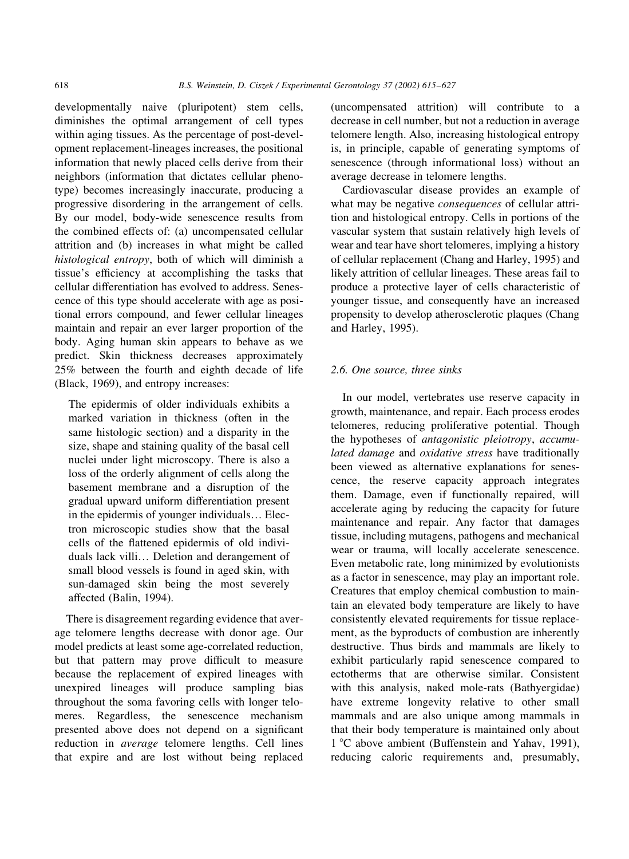developmentally naive (pluripotent) stem cells, diminishes the optimal arrangement of cell types within aging tissues. As the percentage of post-development replacement-lineages increases, the positional information that newly placed cells derive from their neighbors (information that dictates cellular phenotype) becomes increasingly inaccurate, producing a progressive disordering in the arrangement of cells. By our model, body-wide senescence results from the combined effects of: (a) uncompensated cellular attrition and (b) increases in what might be called histological entropy, both of which will diminish a tissue's efficiency at accomplishing the tasks that cellular differentiation has evolved to address. Senescence of this type should accelerate with age as positional errors compound, and fewer cellular lineages maintain and repair an ever larger proportion of the body. Aging human skin appears to behave as we predict. Skin thickness decreases approximately 25% between the fourth and eighth decade of life (Black, 1969), and entropy increases:

The epidermis of older individuals exhibits a marked variation in thickness (often in the same histologic section) and a disparity in the size, shape and staining quality of the basal cell nuclei under light microscopy. There is also a loss of the orderly alignment of cells along the basement membrane and a disruption of the gradual upward uniform differentiation present in the epidermis of younger individuals... Electron microscopic studies show that the basal cells of the flattened epidermis of old individuals lack villi... Deletion and derangement of small blood vessels is found in aged skin, with sun-damaged skin being the most severely affected (Balin, 1994).

There is disagreement regarding evidence that average telomere lengths decrease with donor age. Our model predicts at least some age-correlated reduction, but that pattern may prove difficult to measure because the replacement of expired lineages with unexpired lineages will produce sampling bias throughout the soma favoring cells with longer telomeres. Regardless, the senescence mechanism presented above does not depend on a significant reduction in *average* telomere lengths. Cell lines that expire and are lost without being replaced (uncompensated attrition) will contribute to a decrease in cell number, but not a reduction in average telomere length. Also, increasing histological entropy is, in principle, capable of generating symptoms of senescence (through informational loss) without an average decrease in telomere lengths.

Cardiovascular disease provides an example of what may be negative consequences of cellular attrition and histological entropy. Cells in portions of the vascular system that sustain relatively high levels of wear and tear have short telomeres, implying a history of cellular replacement (Chang and Harley, 1995) and likely attrition of cellular lineages. These areas fail to produce a protective layer of cells characteristic of younger tissue, and consequently have an increased propensity to develop atherosclerotic plaques (Chang and Harley, 1995).

#### 2.6. One source, three sinks

In our model, vertebrates use reserve capacity in growth, maintenance, and repair. Each process erodes telomeres, reducing proliferative potential. Though the hypotheses of *antagonistic pleiotropy*, *accumu*lated damage and oxidative stress have traditionally been viewed as alternative explanations for senescence, the reserve capacity approach integrates them. Damage, even if functionally repaired, will accelerate aging by reducing the capacity for future maintenance and repair. Any factor that damages tissue, including mutagens, pathogens and mechanical wear or trauma, will locally accelerate senescence. Even metabolic rate, long minimized by evolutionists as a factor in senescence, may play an important role. Creatures that employ chemical combustion to maintain an elevated body temperature are likely to have consistently elevated requirements for tissue replacement, as the byproducts of combustion are inherently destructive. Thus birds and mammals are likely to exhibit particularly rapid senescence compared to ectotherms that are otherwise similar. Consistent with this analysis, naked mole-rats (Bathyergidae) have extreme longevity relative to other small mammals and are also unique among mammals in that their body temperature is maintained only about 1 °C above ambient (Buffenstein and Yahav, 1991), reducing caloric requirements and, presumably,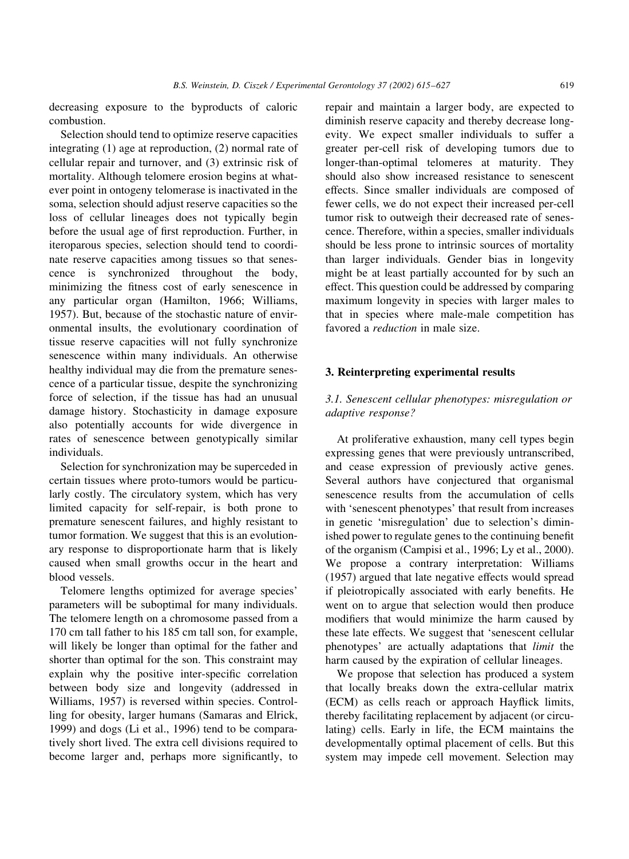decreasing exposure to the byproducts of caloric combustion.

Selection should tend to optimize reserve capacities integrating  $(1)$  age at reproduction,  $(2)$  normal rate of cellular repair and turnover, and (3) extrinsic risk of mortality. Although telomere erosion begins at whatever point in ontogeny telomerase is inactivated in the soma, selection should adjust reserve capacities so the loss of cellular lineages does not typically begin before the usual age of first reproduction. Further, in iteroparous species, selection should tend to coordinate reserve capacities among tissues so that senescence is synchronized throughout the body, minimizing the fitness cost of early senescence in any particular organ (Hamilton, 1966; Williams, 1957). But, because of the stochastic nature of environmental insults, the evolutionary coordination of tissue reserve capacities will not fully synchronize senescence within many individuals. An otherwise healthy individual may die from the premature senescence of a particular tissue, despite the synchronizing force of selection, if the tissue has had an unusual damage history. Stochasticity in damage exposure also potentially accounts for wide divergence in rates of senescence between genotypically similar individuals.

Selection for synchronization may be superceded in certain tissues where proto-tumors would be particularly costly. The circulatory system, which has very limited capacity for self-repair, is both prone to premature senescent failures, and highly resistant to tumor formation. We suggest that this is an evolutionary response to disproportionate harm that is likely caused when small growths occur in the heart and blood vessels.

Telomere lengths optimized for average species' parameters will be suboptimal for many individuals. The telomere length on a chromosome passed from a 170 cm tall father to his 185 cm tall son, for example, will likely be longer than optimal for the father and shorter than optimal for the son. This constraint may explain why the positive inter-specific correlation between body size and longevity (addressed in Williams, 1957) is reversed within species. Controlling for obesity, larger humans (Samaras and Elrick, 1999) and dogs (Li et al., 1996) tend to be comparatively short lived. The extra cell divisions required to become larger and, perhaps more significantly, to repair and maintain a larger body, are expected to diminish reserve capacity and thereby decrease longevity. We expect smaller individuals to suffer a greater per-cell risk of developing tumors due to longer-than-optimal telomeres at maturity. They should also show increased resistance to senescent effects. Since smaller individuals are composed of fewer cells, we do not expect their increased per-cell tumor risk to outweigh their decreased rate of senescence. Therefore, within a species, smaller individuals should be less prone to intrinsic sources of mortality than larger individuals. Gender bias in longevity might be at least partially accounted for by such an effect. This question could be addressed by comparing maximum longevity in species with larger males to that in species where male-male competition has favored a *reduction* in male size.

#### 3. Reinterpreting experimental results

# 3.1. Senescent cellular phenotypes: misregulation or adaptive response?

At proliferative exhaustion, many cell types begin expressing genes that were previously untranscribed, and cease expression of previously active genes. Several authors have conjectured that organismal senescence results from the accumulation of cells with 'senescent phenotypes' that result from increases in genetic 'misregulation' due to selection's diminished power to regulate genes to the continuing benefit of the organism (Campisi et al., 1996; Ly et al., 2000). We propose a contrary interpretation: Williams (1957) argued that late negative effects would spread if pleiotropically associated with early benefits. He went on to argue that selection would then produce modifiers that would minimize the harm caused by these late effects. We suggest that 'senescent cellular phenotypes' are actually adaptations that *limit* the harm caused by the expiration of cellular lineages.

We propose that selection has produced a system that locally breaks down the extra-cellular matrix (ECM) as cells reach or approach Hayflick limits, thereby facilitating replacement by adjacent (or circulating) cells. Early in life, the ECM maintains the developmentally optimal placement of cells. But this system may impede cell movement. Selection may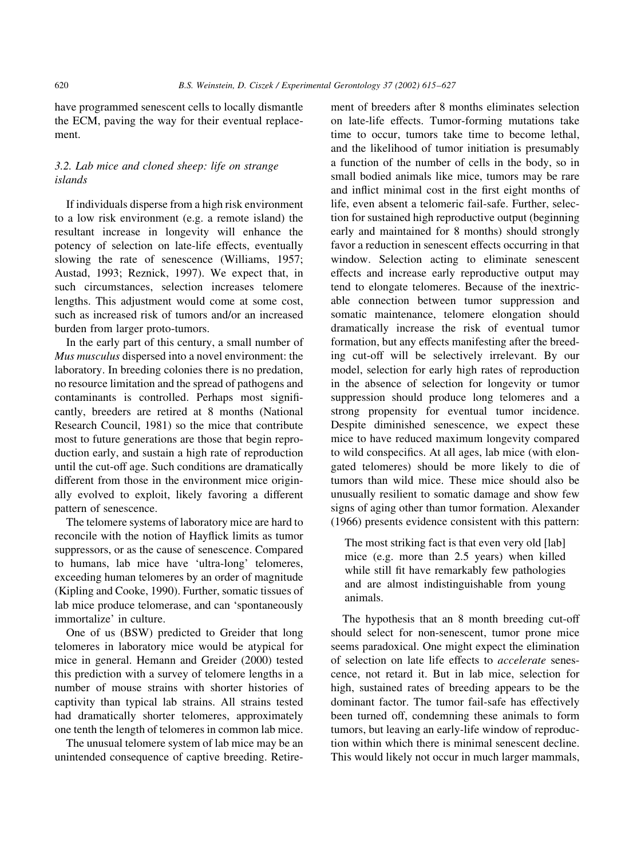have programmed senescent cells to locally dismantle the ECM, paving the way for their eventual replacement.

## 3.2. Lab mice and cloned sheep: life on strange islands

If individuals disperse from a high risk environment to a low risk environment (e.g. a remote island) the resultant increase in longevity will enhance the potency of selection on late-life effects, eventually slowing the rate of senescence (Williams, 1957; Austad, 1993; Reznick, 1997). We expect that, in such circumstances, selection increases telomere lengths. This adjustment would come at some cost, such as increased risk of tumors and/or an increased burden from larger proto-tumors.

In the early part of this century, a small number of Mus musculus dispersed into a novel environment: the laboratory. In breeding colonies there is no predation, no resource limitation and the spread of pathogens and contaminants is controlled. Perhaps most significantly, breeders are retired at 8 months (National Research Council, 1981) so the mice that contribute most to future generations are those that begin reproduction early, and sustain a high rate of reproduction until the cut-off age. Such conditions are dramatically different from those in the environment mice originally evolved to exploit, likely favoring a different pattern of senescence.

The telomere systems of laboratory mice are hard to reconcile with the notion of Hayflick limits as tumor suppressors, or as the cause of senescence. Compared to humans, lab mice have 'ultra-long' telomeres, exceeding human telomeres by an order of magnitude (Kipling and Cooke, 1990). Further, somatic tissues of lab mice produce telomerase, and can 'spontaneously immortalize' in culture.

One of us (BSW) predicted to Greider that long telomeres in laboratory mice would be atypical for mice in general. Hemann and Greider (2000) tested this prediction with a survey of telomere lengths in a number of mouse strains with shorter histories of captivity than typical lab strains. All strains tested had dramatically shorter telomeres, approximately one tenth the length of telomeres in common lab mice.

The unusual telomere system of lab mice may be an unintended consequence of captive breeding. Retirement of breeders after 8 months eliminates selection on late-life effects. Tumor-forming mutations take time to occur, tumors take time to become lethal, and the likelihood of tumor initiation is presumably a function of the number of cells in the body, so in small bodied animals like mice, tumors may be rare and inflict minimal cost in the first eight months of life, even absent a telomeric fail-safe. Further, selection for sustained high reproductive output (beginning early and maintained for 8 months) should strongly favor a reduction in senescent effects occurring in that window. Selection acting to eliminate senescent effects and increase early reproductive output may tend to elongate telomeres. Because of the inextricable connection between tumor suppression and somatic maintenance, telomere elongation should dramatically increase the risk of eventual tumor formation, but any effects manifesting after the breeding cut-off will be selectively irrelevant. By our model, selection for early high rates of reproduction in the absence of selection for longevity or tumor suppression should produce long telomeres and a strong propensity for eventual tumor incidence. Despite diminished senescence, we expect these mice to have reduced maximum longevity compared to wild conspecifics. At all ages, lab mice (with elongated telomeres) should be more likely to die of tumors than wild mice. These mice should also be unusually resilient to somatic damage and show few signs of aging other than tumor formation. Alexander (1966) presents evidence consistent with this pattern:

The most striking fact is that even very old [lab] mice (e.g. more than 2.5 years) when killed while still fit have remarkably few pathologies and are almost indistinguishable from young animals.

The hypothesis that an 8 month breeding cut-off should select for non-senescent, tumor prone mice seems paradoxical. One might expect the elimination of selection on late life effects to *accelerate* senescence, not retard it. But in lab mice, selection for high, sustained rates of breeding appears to be the dominant factor. The tumor fail-safe has effectively been turned off, condemning these animals to form tumors, but leaving an early-life window of reproduction within which there is minimal senescent decline. This would likely not occur in much larger mammals,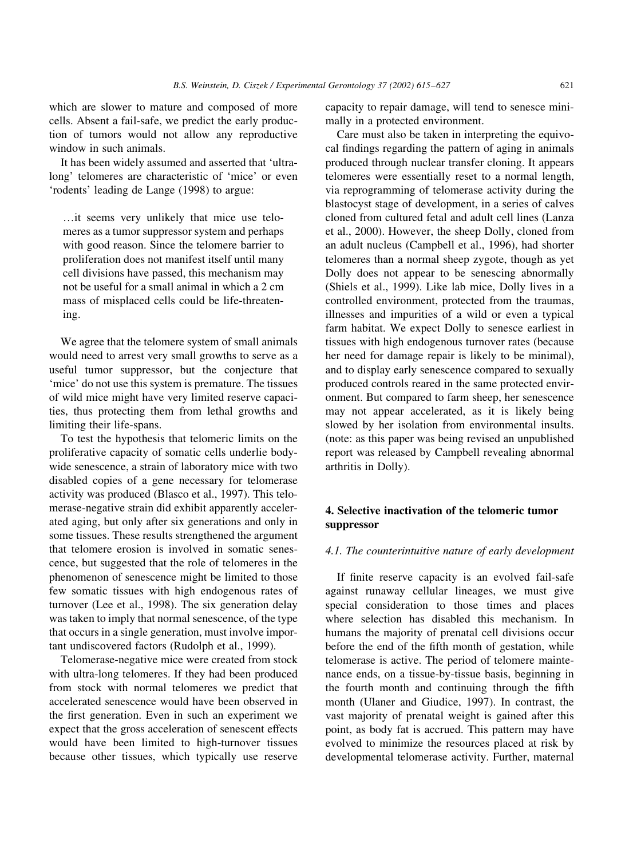which are slower to mature and composed of more cells. Absent a fail-safe, we predict the early production of tumors would not allow any reproductive window in such animals.

It has been widely assumed and asserted that 'ultralong' telomeres are characteristic of 'mice' or even 'rodents' leading de Lange (1998) to argue:

... it seems very unlikely that mice use telomeres as a tumor suppressor system and perhaps with good reason. Since the telomere barrier to proliferation does not manifest itself until many cell divisions have passed, this mechanism may not be useful for a small animal in which a 2 cm mass of misplaced cells could be life-threatening.

We agree that the telomere system of small animals would need to arrest very small growths to serve as a useful tumor suppressor, but the conjecture that 'mice' do not use this system is premature. The tissues of wild mice might have very limited reserve capacities, thus protecting them from lethal growths and limiting their life-spans.

To test the hypothesis that telomeric limits on the proliferative capacity of somatic cells underlie bodywide senescence, a strain of laboratory mice with two disabled copies of a gene necessary for telomerase activity was produced (Blasco et al., 1997). This telomerase-negative strain did exhibit apparently accelerated aging, but only after six generations and only in some tissues. These results strengthened the argument that telomere erosion is involved in somatic senescence, but suggested that the role of telomeres in the phenomenon of senescence might be limited to those few somatic tissues with high endogenous rates of turnover (Lee et al., 1998). The six generation delay was taken to imply that normal senescence, of the type that occurs in a single generation, must involve important undiscovered factors (Rudolph et al., 1999).

Telomerase-negative mice were created from stock with ultra-long telomeres. If they had been produced from stock with normal telomeres we predict that accelerated senescence would have been observed in the first generation. Even in such an experiment we expect that the gross acceleration of senescent effects would have been limited to high-turnover tissues because other tissues, which typically use reserve

capacity to repair damage, will tend to senesce minimally in a protected environment.

Care must also be taken in interpreting the equivocal findings regarding the pattern of aging in animals produced through nuclear transfer cloning. It appears telomeres were essentially reset to a normal length, via reprogramming of telomerase activity during the blastocyst stage of development, in a series of calves cloned from cultured fetal and adult cell lines (Lanza et al., 2000). However, the sheep Dolly, cloned from an adult nucleus (Campbell et al., 1996), had shorter telomeres than a normal sheep zygote, though as yet Dolly does not appear to be senescing abnormally (Shiels et al., 1999). Like lab mice, Dolly lives in a controlled environment, protected from the traumas, illnesses and impurities of a wild or even a typical farm habitat. We expect Dolly to senesce earliest in tissues with high endogenous turnover rates (because her need for damage repair is likely to be minimal), and to display early senescence compared to sexually produced controls reared in the same protected environment. But compared to farm sheep, her senescence may not appear accelerated, as it is likely being slowed by her isolation from environmental insults. (note: as this paper was being revised an unpublished report was released by Campbell revealing abnormal arthritis in Dolly).

# 4. Selective inactivation of the telomeric tumor suppressor

## 4.1. The counterintuitive nature of early development

If finite reserve capacity is an evolved fail-safe against runaway cellular lineages, we must give special consideration to those times and places where selection has disabled this mechanism. In humans the majority of prenatal cell divisions occur before the end of the fifth month of gestation, while telomerase is active. The period of telomere maintenance ends, on a tissue-by-tissue basis, beginning in the fourth month and continuing through the fifth month (Ulaner and Giudice, 1997). In contrast, the vast majority of prenatal weight is gained after this point, as body fat is accrued. This pattern may have evolved to minimize the resources placed at risk by developmental telomerase activity. Further, maternal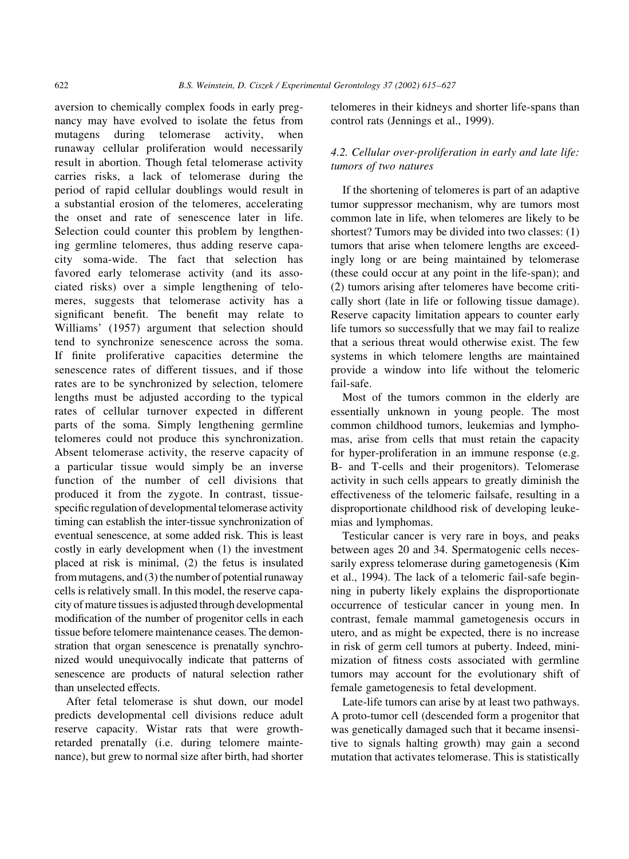aversion to chemically complex foods in early pregnancy may have evolved to isolate the fetus from mutagens during telomerase activity, when runaway cellular proliferation would necessarily result in abortion. Though fetal telomerase activity carries risks, a lack of telomerase during the period of rapid cellular doublings would result in a substantial erosion of the telomeres, accelerating the onset and rate of senescence later in life. Selection could counter this problem by lengthening germline telomeres, thus adding reserve capacity soma-wide. The fact that selection has favored early telomerase activity (and its associated risks) over a simple lengthening of telomeres, suggests that telomerase activity has a significant benefit. The benefit may relate to Williams' (1957) argument that selection should tend to synchronize senescence across the soma. If finite proliferative capacities determine the senescence rates of different tissues, and if those rates are to be synchronized by selection, telomere lengths must be adjusted according to the typical rates of cellular turnover expected in different parts of the soma. Simply lengthening germline telomeres could not produce this synchronization. Absent telomerase activity, the reserve capacity of a particular tissue would simply be an inverse function of the number of cell divisions that produced it from the zygote. In contrast, tissuespecific regulation of developmental telomerase activity timing can establish the inter-tissue synchronization of eventual senescence, at some added risk. This is least costly in early development when (1) the investment placed at risk is minimal, (2) the fetus is insulated from mutagens, and (3) the number of potential runaway cells is relatively small. In this model, the reserve capacity of mature tissues is adjusted through developmental modification of the number of progenitor cells in each tissue before telomere maintenance ceases. The demonstration that organ senescence is prenatally synchronized would unequivocally indicate that patterns of senescence are products of natural selection rather than unselected effects.

After fetal telomerase is shut down, our model predicts developmental cell divisions reduce adult reserve capacity. Wistar rats that were growthretarded prenatally (i.e. during telomere maintenance), but grew to normal size after birth, had shorter

telomeres in their kidneys and shorter life-spans than control rats (Jennings et al., 1999).

## 4.2. Cellular over-proliferation in early and late life: tumors of two natures

If the shortening of telomeres is part of an adaptive tumor suppressor mechanism, why are tumors most common late in life, when telomeres are likely to be shortest? Tumors may be divided into two classes: (1) tumors that arise when telomere lengths are exceedingly long or are being maintained by telomerase (these could occur at any point in the life-span); and (2) tumors arising after telomeres have become critically short (late in life or following tissue damage). Reserve capacity limitation appears to counter early life tumors so successfully that we may fail to realize that a serious threat would otherwise exist. The few systems in which telomere lengths are maintained provide a window into life without the telomeric fail-safe.

Most of the tumors common in the elderly are. essentially unknown in young people. The most common childhood tumors, leukemias and lymphomas, arise from cells that must retain the capacity for hyper-proliferation in an immune response (e.g. B- and T-cells and their progenitors). Telomerase activity in such cells appears to greatly diminish the effectiveness of the telomeric failsafe, resulting in a disproportionate childhood risk of developing leukemias and lymphomas.

Testicular cancer is very rare in boys, and peaks between ages 20 and 34. Spermatogenic cells necessarily express telomerase during gametogenesis (Kim et al., 1994). The lack of a telomeric fail-safe beginning in puberty likely explains the disproportionate occurrence of testicular cancer in young men. In contrast, female mammal gametogenesis occurs in utero, and as might be expected, there is no increase in risk of germ cell tumors at puberty. Indeed, minimization of fitness costs associated with germline tumors may account for the evolutionary shift of female gametogenesis to fetal development.

Late-life tumors can arise by at least two pathways. A proto-tumor cell (descended form a progenitor that was genetically damaged such that it became insensitive to signals halting growth) may gain a second mutation that activates telomerase. This is statistically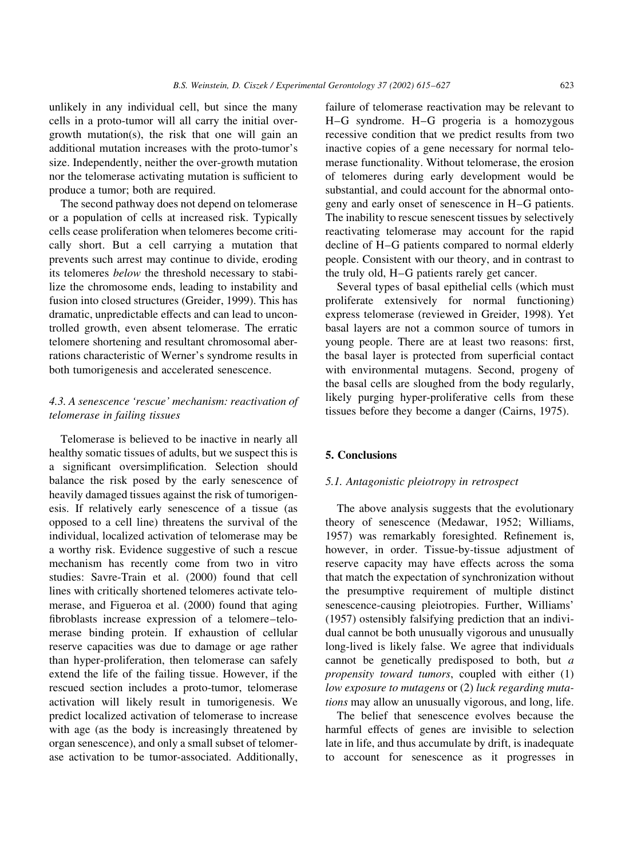unlikely in any individual cell, but since the many cells in a proto-tumor will all carry the initial overgrowth mutation(s), the risk that one will gain an additional mutation increases with the proto-tumor's size. Independently, neither the over-growth mutation nor the telomerase activating mutation is sufficient to produce a tumor; both are required.

The second pathway does not depend on telomerase or a population of cells at increased risk. Typically cells cease proliferation when telomeres become critically short. But a cell carrying a mutation that prevents such arrest may continue to divide, eroding its telomeres below the threshold necessary to stabilize the chromosome ends, leading to instability and fusion into closed structures (Greider, 1999). This has dramatic, unpredictable effects and can lead to uncontrolled growth, even absent telomerase. The erratic telomere shortening and resultant chromosomal aberrations characteristic of Werner's syndrome results in both tumorigenesis and accelerated senescence.

# 4.3. A senescence 'rescue' mechanism: reactivation of telomerase in failing tissues

Telomerase is believed to be inactive in nearly all healthy somatic tissues of adults, but we suspect this is a significant oversimplification. Selection should balance the risk posed by the early senescence of heavily damaged tissues against the risk of tumorigenesis. If relatively early senescence of a tissue (as opposed to a cell line) threatens the survival of the individual, localized activation of telomerase may be a worthy risk. Evidence suggestive of such a rescue mechanism has recently come from two in vitro studies: Savre-Train et al. (2000) found that cell lines with critically shortened telomeres activate telomerase, and Figueroa et al. (2000) found that aging fibroblasts increase expression of a telomere-telomerase binding protein. If exhaustion of cellular reserve capacities was due to damage or age rather than hyper-proliferation, then telomerase can safely extend the life of the failing tissue. However, if the rescued section includes a proto-tumor, telomerase activation will likely result in tumorigenesis. We predict localized activation of telomerase to increase with age (as the body is increasingly threatened by organ senescence), and only a small subset of telomerase activation to be tumor-associated. Additionally,

failure of telomerase reactivation may be relevant to H-G syndrome. H-G progeria is a homozygous recessive condition that we predict results from two inactive copies of a gene necessary for normal telomerase functionality. Without telomerase, the erosion of telomeres during early development would be substantial, and could account for the abnormal ontogeny and early onset of senescence in H-G patients. The inability to rescue senescent tissues by selectively reactivating telomerase may account for the rapid decline of H-G patients compared to normal elderly people. Consistent with our theory, and in contrast to the truly old, H-G patients rarely get cancer.

Several types of basal epithelial cells (which must proliferate extensively for normal functioning) express telomerase (reviewed in Greider, 1998). Yet basal layers are not a common source of tumors in young people. There are at least two reasons: first, the basal layer is protected from superficial contact with environmental mutagens. Second, progeny of the basal cells are sloughed from the body regularly, likely purging hyper-proliferative cells from these tissues before they become a danger (Cairns, 1975).

## 5. Conclusions

## 5.1. Antagonistic pleiotropy in retrospect

The above analysis suggests that the evolutionary theory of senescence (Medawar, 1952; Williams, 1957) was remarkably foresighted. Refinement is, however, in order. Tissue-by-tissue adjustment of reserve capacity may have effects across the soma that match the expectation of synchronization without the presumptive requirement of multiple distinct senescence-causing pleiotropies. Further, Williams' (1957) ostensibly falsifying prediction that an individual cannot be both unusually vigorous and unusually long-lived is likely false. We agree that individuals cannot be genetically predisposed to both, but  $a$ *propensity toward tumors, coupled with either (1)* low exposure to mutagens or (2) luck regarding muta*tions* may allow an unusually vigorous, and long, life.

The belief that senescence evolves because the harmful effects of genes are invisible to selection late in life, and thus accumulate by drift, is inadequate to account for senescence as it progresses in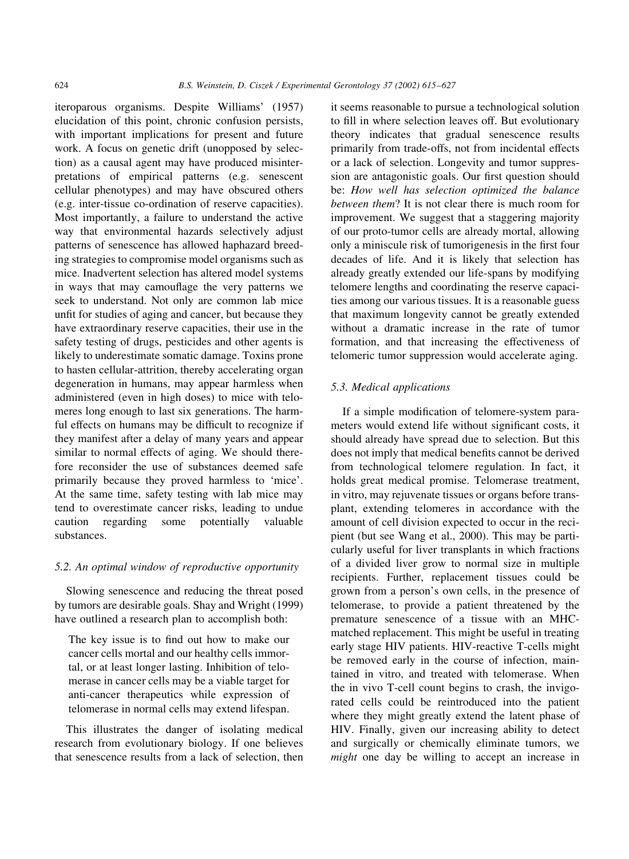iteroparous organisms. Despite Williams' (1957) elucidation of this point, chronic confusion persists, with important implications for present and future work. A focus on genetic drift (unopposed by selection) as a causal agent may have produced misinterpretations of empirical patterns (e.g. senescent cellular phenotypes) and may have obscured others (e.g. inter-tissue co-ordination of reserve capacities). Most importantly, a failure to understand the active way that environmental hazards selectively adjust patterns of senescence has allowed haphazard breeding strategies to compromise model organisms such as mice. Inadvertent selection has altered model systems in ways that may camouflage the very patterns we seek to understand. Not only are common lab mice unfit for studies of aging and cancer, but because they have extraordinary reserve capacities, their use in the safety testing of drugs, pesticides and other agents is likely to underestimate somatic damage. Toxins prone to hasten cellular-attrition, thereby accelerating organ degeneration in humans, may appear harmless when administered (even in high doses) to mice with telomeres long enough to last six generations. The harmful effects on humans may be difficult to recognize if they manifest after a delay of many years and appear similar to normal effects of aging. We should therefore reconsider the use of substances deemed safe primarily because they proved harmless to 'mice'. At the same time, safety testing with lab mice may tend to overestimate cancer risks, leading to undue regarding some potentially valuable caution substances.

## 5.2. An optimal window of reproductive opportunity

Slowing senescence and reducing the threat posed by tumors are desirable goals. Shay and Wright (1999) have outlined a research plan to accomplish both:

The key issue is to find out how to make our cancer cells mortal and our healthy cells immortal, or at least longer lasting. Inhibition of telomerase in cancer cells may be a viable target for anti-cancer therapeutics while expression of telomerase in normal cells may extend lifespan.

This illustrates the danger of isolating medical research from evolutionary biology. If one believes that senescence results from a lack of selection, then it seems reasonable to pursue a technological solution to fill in where selection leaves off. But evolutionary theory indicates that gradual senescence results primarily from trade-offs, not from incidental effects or a lack of selection. Longevity and tumor suppression are antagonistic goals. Our first question should be: How well has selection optimized the balance *between them?* It is not clear there is much room for improvement. We suggest that a staggering majority of our proto-tumor cells are already mortal, allowing only a miniscule risk of tumorigenesis in the first four decades of life. And it is likely that selection has already greatly extended our life-spans by modifying telomere lengths and coordinating the reserve capacities among our various tissues. It is a reasonable guess that maximum longevity cannot be greatly extended without a dramatic increase in the rate of tumor formation, and that increasing the effectiveness of telomeric tumor suppression would accelerate aging.

## 5.3. Medical applications

If a simple modification of telomere-system parameters would extend life without significant costs, it should already have spread due to selection. But this does not imply that medical benefits cannot be derived from technological telomere regulation. In fact, it holds great medical promise. Telomerase treatment, in vitro, may rejuvenate tissues or organs before transplant, extending telomeres in accordance with the amount of cell division expected to occur in the recipient (but see Wang et al., 2000). This may be particularly useful for liver transplants in which fractions of a divided liver grow to normal size in multiple recipients. Further, replacement tissues could be grown from a person's own cells, in the presence of telomerase, to provide a patient threatened by the premature senescence of a tissue with an MHCmatched replacement. This might be useful in treating early stage HIV patients. HIV-reactive T-cells might be removed early in the course of infection, maintained in vitro, and treated with telomerase. When the in vivo T-cell count begins to crash, the invigorated cells could be reintroduced into the patient where they might greatly extend the latent phase of HIV. Finally, given our increasing ability to detect and surgically or chemically eliminate tumors, we might one day be willing to accept an increase in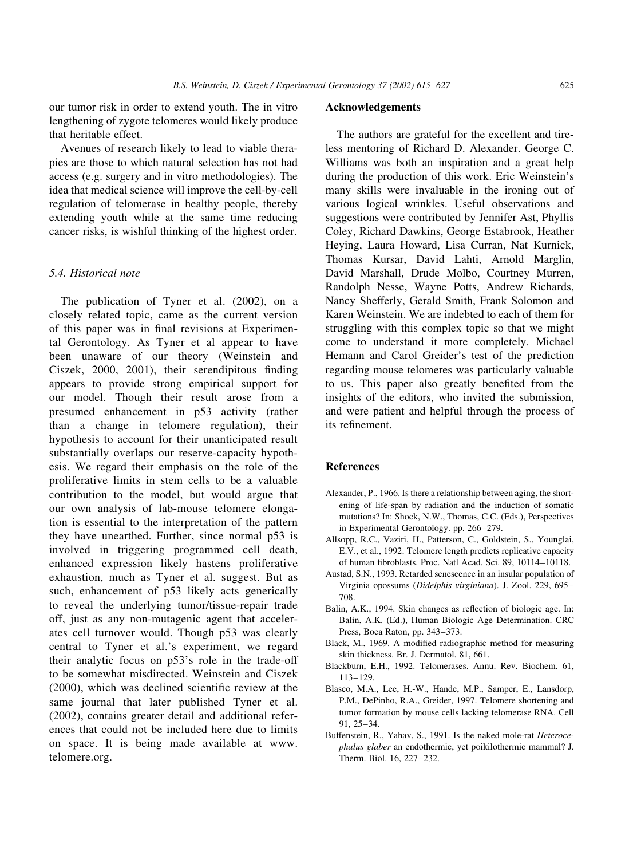our tumor risk in order to extend youth. The in vitro lengthening of zygote telomeres would likely produce that heritable effect.

Avenues of research likely to lead to viable therapies are those to which natural selection has not had access (e.g. surgery and in vitro methodologies). The idea that medical science will improve the cell-by-cell regulation of telomerase in healthy people, thereby extending youth while at the same time reducing cancer risks, is wishful thinking of the highest order.

#### 5.4. Historical note

The publication of Tyner et al. (2002), on a closely related topic, came as the current version of this paper was in final revisions at Experimental Gerontology. As Tyner et al appear to have been unaware of our theory (Weinstein and Ciszek, 2000, 2001), their serendipitous finding appears to provide strong empirical support for our model. Though their result arose from a presumed enhancement in p53 activity (rather than a change in telomere regulation), their hypothesis to account for their unanticipated result substantially overlaps our reserve-capacity hypothesis. We regard their emphasis on the role of the proliferative limits in stem cells to be a valuable contribution to the model, but would argue that our own analysis of lab-mouse telomere elongation is essential to the interpretation of the pattern they have unearthed. Further, since normal p53 is involved in triggering programmed cell death, enhanced expression likely hastens proliferative exhaustion, much as Tyner et al. suggest. But as such, enhancement of p53 likely acts generically to reveal the underlying tumor/tissue-repair trade off, just as any non-mutagenic agent that accelerates cell turnover would. Though p53 was clearly central to Tyner et al.'s experiment, we regard their analytic focus on p53's role in the trade-off to be somewhat misdirected. Weinstein and Ciszek (2000), which was declined scientific review at the same journal that later published Tyner et al. (2002), contains greater detail and additional references that could not be included here due to limits on space. It is being made available at www. telomere.org.

#### **Acknowledgements**

The authors are grateful for the excellent and tireless mentoring of Richard D. Alexander. George C. Williams was both an inspiration and a great help during the production of this work. Eric Weinstein's many skills were invaluable in the ironing out of various logical wrinkles. Useful observations and suggestions were contributed by Jennifer Ast, Phyllis Coley, Richard Dawkins, George Estabrook, Heather Heying, Laura Howard, Lisa Curran, Nat Kurnick, Thomas Kursar, David Lahti, Arnold Marglin, David Marshall, Drude Molbo, Courtney Murren, Randolph Nesse, Wayne Potts, Andrew Richards, Nancy Shefferly, Gerald Smith, Frank Solomon and Karen Weinstein. We are indebted to each of them for struggling with this complex topic so that we might come to understand it more completely. Michael Hemann and Carol Greider's test of the prediction regarding mouse telomeres was particularly valuable to us. This paper also greatly benefited from the insights of the editors, who invited the submission, and were patient and helpful through the process of its refinement.

## **References**

- Alexander, P., 1966. Is there a relationship between aging, the shortening of life-span by radiation and the induction of somatic mutations? In: Shock, N.W., Thomas, C.C. (Eds.), Perspectives in Experimental Gerontology. pp. 266-279.
- Allsopp, R.C., Vaziri, H., Patterson, C., Goldstein, S., Younglai, E.V., et al., 1992. Telomere length predicts replicative capacity of human fibroblasts. Proc. Natl Acad. Sci. 89, 10114-10118.
- Austad, S.N., 1993. Retarded senescence in an insular population of Virginia opossums (Didelphis virginiana). J. Zool. 229, 695-708.
- Balin, A.K., 1994. Skin changes as reflection of biologic age. In: Balin, A.K. (Ed.), Human Biologic Age Determination. CRC Press, Boca Raton, pp. 343-373.
- Black, M., 1969. A modified radiographic method for measuring skin thickness. Br. J. Dermatol. 81, 661.
- Blackburn, E.H., 1992. Telomerases. Annu. Rev. Biochem. 61,  $113 - 129$
- Blasco, M.A., Lee, H.-W., Hande, M.P., Samper, E., Lansdorp, P.M., DePinho, R.A., Greider, 1997. Telomere shortening and tumor formation by mouse cells lacking telomerase RNA. Cell  $91, 25 - 34.$
- Buffenstein, R., Yahav, S., 1991. Is the naked mole-rat Heterocephalus glaber an endothermic, yet poikilothermic mammal? J. Therm. Biol. 16, 227-232.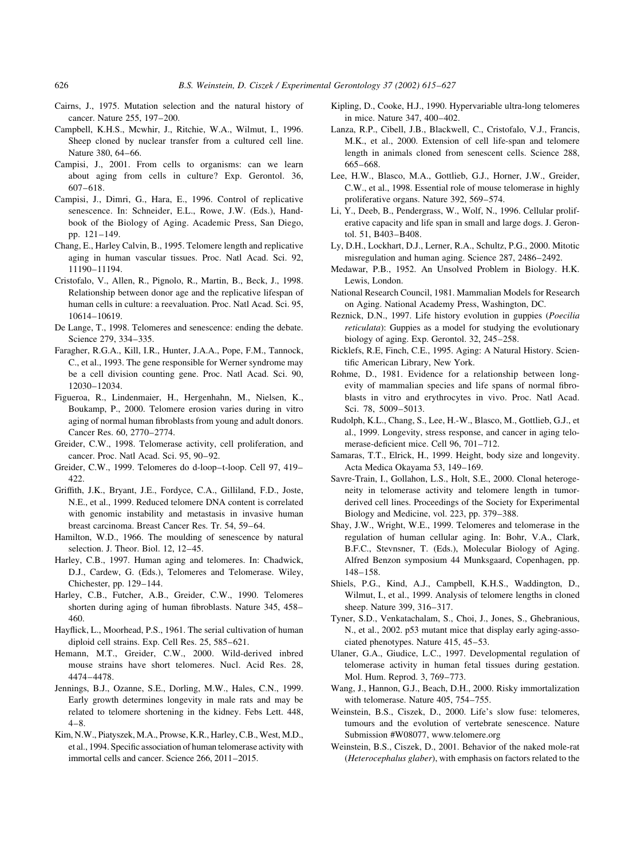- Cairns, J., 1975. Mutation selection and the natural history of cancer. Nature 255, 197-200.
- Campbell, K.H.S., Mcwhir, J., Ritchie, W.A., Wilmut, I., 1996. Sheep cloned by nuclear transfer from a cultured cell line. Nature 380, 64-66.
- Campisi, J., 2001. From cells to organisms: can we learn about aging from cells in culture? Exp. Gerontol. 36,  $607 - 618.$
- Campisi, J., Dimri, G., Hara, E., 1996. Control of replicative senescence. In: Schneider, E.L., Rowe, J.W. (Eds.), Handbook of the Biology of Aging. Academic Press, San Diego, pp. 121-149.
- Chang, E., Harley Calvin, B., 1995. Telomere length and replicative aging in human vascular tissues. Proc. Natl Acad. Sci. 92, 11190-11194.
- Cristofalo, V., Allen, R., Pignolo, R., Martin, B., Beck, J., 1998. Relationship between donor age and the replicative lifespan of human cells in culture: a reevaluation. Proc. Natl Acad. Sci. 95, 10614-10619.
- De Lange, T., 1998. Telomeres and senescence: ending the debate. Science 279, 334–335.
- Faragher, R.G.A., Kill, I.R., Hunter, J.A.A., Pope, F.M., Tannock, C., et al., 1993. The gene responsible for Werner syndrome may be a cell division counting gene. Proc. Natl Acad. Sci. 90, 12030-12034.
- Figueroa, R., Lindenmaier, H., Hergenhahn, M., Nielsen, K., Boukamp, P., 2000. Telomere erosion varies during in vitro aging of normal human fibroblasts from young and adult donors. Cancer Res. 60, 2770-2774.
- Greider, C.W., 1998. Telomerase activity, cell proliferation, and cancer. Proc. Natl Acad. Sci. 95, 90-92.
- Greider, C.W., 1999. Telomeres do d-loop-t-loop. Cell 97, 419- $422$
- Griffith, J.K., Bryant, J.E., Fordyce, C.A., Gilliland, F.D., Joste, N.E., et al., 1999. Reduced telomere DNA content is correlated with genomic instability and metastasis in invasive human breast carcinoma. Breast Cancer Res. Tr. 54, 59-64.
- Hamilton, W.D., 1966. The moulding of senescence by natural selection. J. Theor. Biol. 12, 12-45.
- Harley, C.B., 1997. Human aging and telomeres. In: Chadwick, D.J., Cardew, G. (Eds.), Telomeres and Telomerase. Wiley, Chichester, pp. 129-144.
- Harley, C.B., Futcher, A.B., Greider, C.W., 1990. Telomeres shorten during aging of human fibroblasts. Nature 345, 458-460
- Hayflick, L., Moorhead, P.S., 1961. The serial cultivation of human diploid cell strains. Exp. Cell Res. 25, 585-621.
- Hemann, M.T., Greider, C.W., 2000. Wild-derived inbred mouse strains have short telomeres. Nucl. Acid Res. 28, 4474-4478
- Jennings, B.J., Ozanne, S.E., Dorling, M.W., Hales, C.N., 1999. Early growth determines longevity in male rats and may be related to telomere shortening in the kidney. Febs Lett. 448,  $4 - 8$ .
- Kim, N.W., Piatyszek, M.A., Prowse, K.R., Harley, C.B., West, M.D., et al., 1994. Specific association of human telomerase activity with immortal cells and cancer. Science 266, 2011-2015.
- Kipling, D., Cooke, H.J., 1990. Hypervariable ultra-long telomeres in mice. Nature 347, 400-402.
- Lanza, R.P., Cibell, J.B., Blackwell, C., Cristofalo, V.J., Francis, M.K., et al., 2000. Extension of cell life-span and telomere length in animals cloned from senescent cells. Science 288, 665-668
- Lee, H.W., Blasco, M.A., Gottlieb, G.J., Horner, J.W., Greider, C.W., et al., 1998. Essential role of mouse telomerase in highly proliferative organs. Nature 392, 569-574.
- Li, Y., Deeb, B., Pendergrass, W., Wolf, N., 1996. Cellular proliferative capacity and life span in small and large dogs. J. Gerontol. 51, B403-B408.
- Ly, D.H., Lockhart, D.J., Lerner, R.A., Schultz, P.G., 2000. Mitotic misregulation and human aging. Science 287, 2486–2492.
- Medawar, P.B., 1952. An Unsolved Problem in Biology. H.K. Lewis, London.
- National Research Council, 1981. Mammalian Models for Research on Aging. National Academy Press, Washington, DC.
- Reznick, D.N., 1997. Life history evolution in guppies (Poecilia reticulata): Guppies as a model for studying the evolutionary biology of aging. Exp. Gerontol. 32, 245-258.
- Ricklefs, R.E, Finch, C.E., 1995. Aging: A Natural History. Scientific American Library, New York.
- Rohme, D., 1981. Evidence for a relationship between longevity of mammalian species and life spans of normal fibroblasts in vitro and erythrocytes in vivo. Proc. Natl Acad. Sci. 78, 5009-5013.
- Rudolph, K.L., Chang, S., Lee, H.-W., Blasco, M., Gottlieb, G.J., et al., 1999. Longevity, stress response, and cancer in aging telomerase-deficient mice. Cell 96, 701-712.
- Samaras, T.T., Elrick, H., 1999. Height, body size and longevity. Acta Medica Okayama 53, 149-169.
- Savre-Train, I., Gollahon, L.S., Holt, S.E., 2000. Clonal heterogeneity in telomerase activity and telomere length in tumorderived cell lines. Proceedings of the Society for Experimental Biology and Medicine, vol. 223, pp. 379-388.
- Shay, J.W., Wright, W.E., 1999. Telomeres and telomerase in the regulation of human cellular aging. In: Bohr, V.A., Clark, B.F.C., Stevnsner, T. (Eds.), Molecular Biology of Aging. Alfred Benzon symposium 44 Munksgaard, Copenhagen, pp.  $148 - 158.$
- Shiels, P.G., Kind, A.J., Campbell, K.H.S., Waddington, D., Wilmut, I., et al., 1999. Analysis of telomere lengths in cloned sheep. Nature 399, 316-317.
- Tyner, S.D., Venkatachalam, S., Choi, J., Jones, S., Ghebranious, N., et al., 2002. p53 mutant mice that display early aging-associated phenotypes. Nature 415, 45–53.
- Ulaner, G.A., Giudice, L.C., 1997. Developmental regulation of telomerase activity in human fetal tissues during gestation. Mol. Hum. Reprod. 3, 769-773.
- Wang, J., Hannon, G.J., Beach, D.H., 2000. Risky immortalization with telomerase. Nature 405, 754-755.
- Weinstein, B.S., Ciszek, D., 2000. Life's slow fuse: telomeres, tumours and the evolution of vertebrate senescence. Nature Submission #W08077, www.telomere.org
- Weinstein, B.S., Ciszek, D., 2001. Behavior of the naked mole-rat (Heterocephalus glaber), with emphasis on factors related to the

626